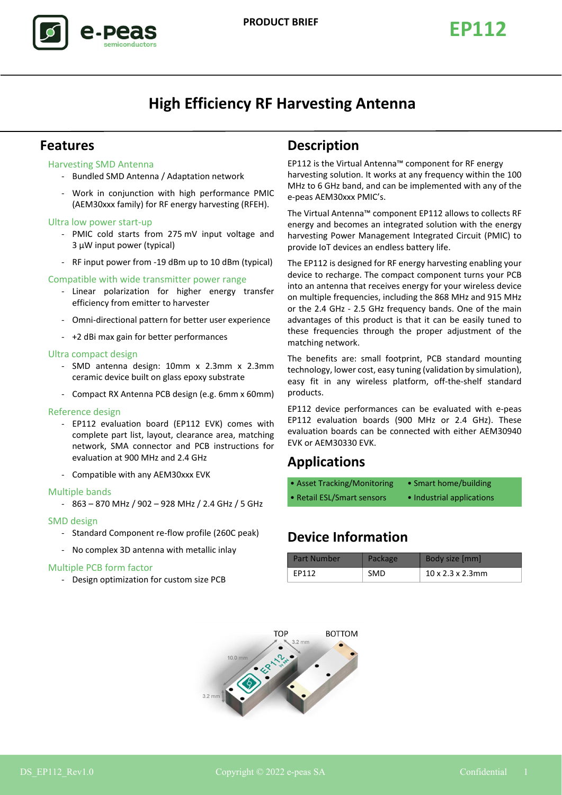

# **High Efficiency RF Harvesting Antenna**

### **Features**

### Harvesting SMD Antenna

- Bundled SMD Antenna / Adaptation network
- Work in conjunction with high performance PMIC (AEM30xxx family) for RF energy harvesting (RFEH).

#### Ultra low power start-up

- PMIC cold starts from 275 mV input voltage and 3 µW input power (typical)
- RF input power from -19 dBm up to 10 dBm (typical)

#### Compatible with wide transmitter power range

- Linear polarization for higher energy transfer efficiency from emitter to harvester
- Omni-directional pattern for better user experience
- +2 dBi max gain for better performances

#### Ultra compact design

- SMD antenna design: 10mm x 2.3mm x 2.3mm ceramic device built on glass epoxy substrate
- Compact RX Antenna PCB design (e.g. 6mm x 60mm)

#### Reference design

- EP112 evaluation board (EP112 EVK) comes with complete part list, layout, clearance area, matching network, SMA connector and PCB instructions for evaluation at 900 MHz and 2.4 GHz
- Compatible with any AEM30xxx EVK

#### Multiple bands

- 863 – 870 MHz / 902 – 928 MHz / 2.4 GHz / 5 GHz

#### SMD design

- Standard Component re-flow profile (260C peak)
- No complex 3D antenna with metallic inlay

#### Multiple PCB form factor

- Design optimization for custom size PCB

### **Description**

EP112 is the Virtual Antenna™ component for RF energy harvesting solution. It works at any frequency within the 100 MHz to 6 GHz band, and can be implemented with any of the e-peas AEM30xxx PMIC's.

The Virtual Antenna™ component EP112 allows to collects RF energy and becomes an integrated solution with the energy harvesting Power Management Integrated Circuit (PMIC) to provide IoT devices an endless battery life.

The EP112 is designed for RF energy harvesting enabling your device to recharge. The compact component turns your PCB into an antenna that receives energy for your wireless device on multiple frequencies, including the 868 MHz and 915 MHz or the 2.4 GHz - 2.5 GHz frequency bands. One of the main advantages of this product is that it can be easily tuned to these frequencies through the proper adjustment of the matching network.

The benefits are: small footprint, PCB standard mounting technology, lower cost, easy tuning (validation by simulation), easy fit in any wireless platform, off-the-shelf standard products.

EP112 device performances can be evaluated with e-peas EP112 evaluation boards (900 MHz or 2.4 GHz). These evaluation boards can be connected with either AEM30940 EVK or AEM30330 EVK.

### **Applications**

| • Asset Tracking/Monitoring | • Smart home/building     |
|-----------------------------|---------------------------|
| • Retail ESL/Smart sensors  | • Industrial applications |

## **Device Information**

| <b>Part Number</b> | <b>Package</b> | Body size [mm]                |
|--------------------|----------------|-------------------------------|
| FP112              | <b>SMD</b>     | $10 \times 2.3 \times 2.3$ mm |

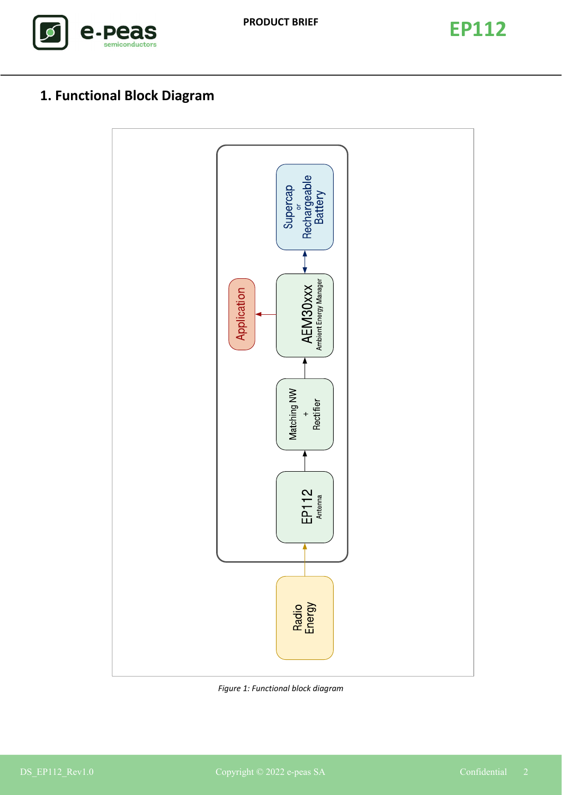



# **1. Functional Block Diagram**



*Figure 1: Functional block diagram*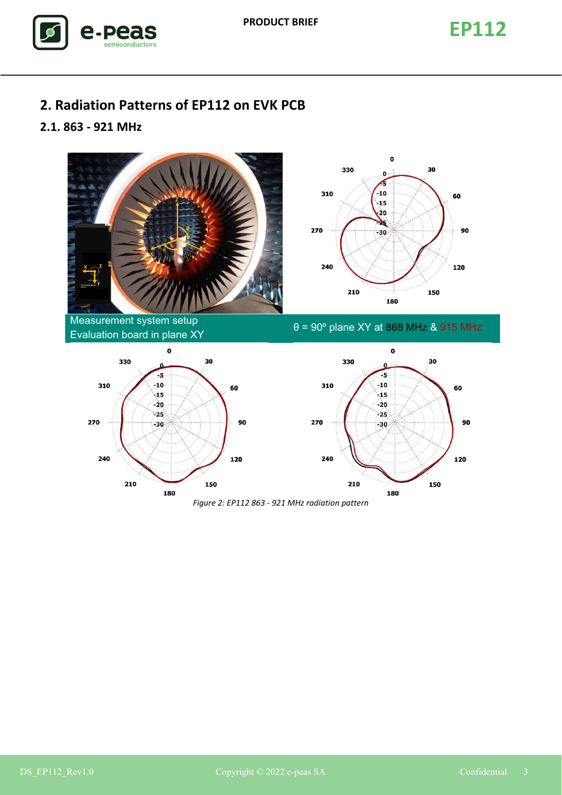

# **2. Radiation Patterns of EP112 on EVK PCB**

### **2.1. 863 - 921 MHz**











*Figure 2: EP112 863 - 921 MHz radiation pattern*